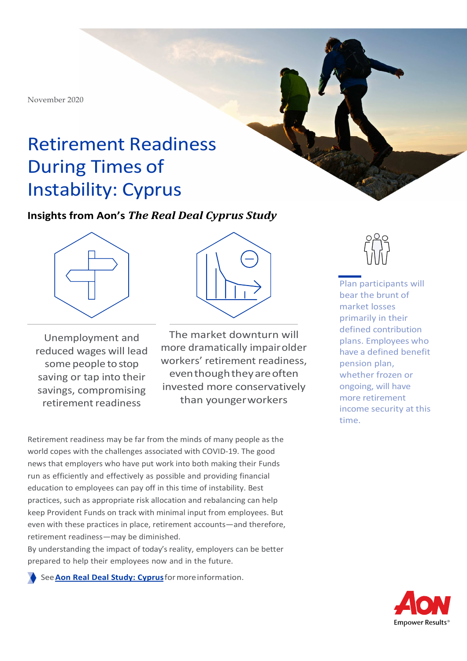November 2020

# Retirement Readiness During Times of Instability: Cyprus

### **Insights from Aon's** *The Real Deal Cyprus Study*



Unemployment and reduced wages will lead some people to stop saving or tap into their savings, compromising retirement readiness



The market downturn will more dramatically impair older workers' retirement readiness, even though they are often invested more conservatively than younger workers

Retirement readiness may be far from the minds of many people as the world copes with the challenges associated with COVID-19. The good news that employers who have put work into both making their Funds run as efficiently and effectively as possible and providing financial education to employees can pay off in this time of instability. Best practices, such as appropriate risk allocation and rebalancing can help keep Provident Funds on track with minimal input from employees. But even with these practices in place, retirement accounts—and therefore, retirement readiness—may be diminished.

By understanding the impact of today's reality, employers can be better prepared to help their employees now and in the future.

See **Aon Real Deal Study: Cyprus** for more information.



Plan participants will bear the brunt of market losses primarily in their defined contribution plans. Employees who have a defined benefit pension plan, whether frozen or ongoing, will have more retirement income security at this time.

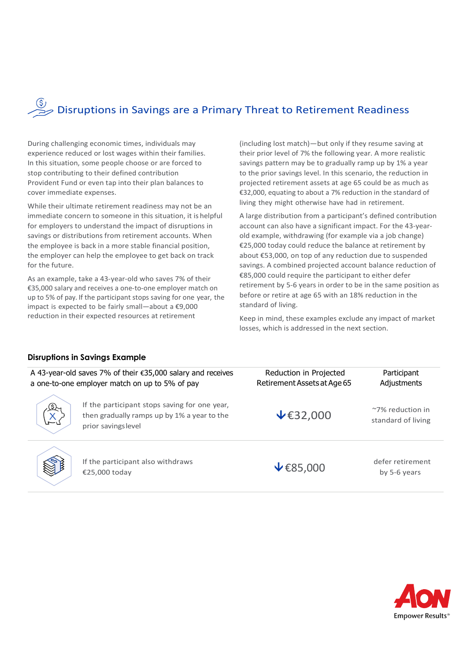# $\overbrace{p\gg}$  Disruptions in Savings are a Primary Threat to Retirement Readiness

During challenging economic times, individuals may experience reduced or lost wages within their families. In this situation, some people choose or are forced to stop contributing to their defined contribution Provident Fund or even tap into their plan balances to cover immediate expenses.

While their ultimate retirement readiness may not be an immediate concern to someone in this situation, it is helpful for employers to understand the impact of disruptions in savings or distributions from retirement accounts. When the employee is back in a more stable financial position, the employer can help the employee to get back on track for the future.

As an example, take a 43-year-old who saves 7% of their €35,000 salary and receives a one-to-one employer match on up to 5% of pay. If the participant stops saving for one year, the impact is expected to be fairly small—about a €9,000 reduction in their expected resources at retirement

(including lost match)—but only if they resume saving at their prior level of 7% the following year. A more realistic savings pattern may be to gradually ramp up by 1% a year to the prior savings level. In this scenario, the reduction in projected retirement assets at age 65 could be as much as €32,000, equating to about a 7% reduction in the standard of living they might otherwise have had in retirement.

A large distribution from a participant's defined contribution account can also have a significant impact. For the 43-yearold example, withdrawing (for example via a job change) €25,000 today could reduce the balance at retirement by about €53,000, on top of any reduction due to suspended savings. A combined projected account balance reduction of €85,000 could require the participant to either defer retirement by 5-6 years in order to be in the same position as before or retire at age 65 with an 18% reduction in the standard of living.

Keep in mind, these examples exclude any impact of market losses, which is addressed in the next section.

#### **Disruptions in Savings Example**

|                  | A 43-year-old saves 7% of their €35,000 salary and receives<br>a one-to-one employer match on up to 5% of pay       | Reduction in Projected<br>Retirement Assets at Age 65 | Participant<br>Adjustments             |
|------------------|---------------------------------------------------------------------------------------------------------------------|-------------------------------------------------------|----------------------------------------|
| برهي<br>سر<br>سر | If the participant stops saving for one year,<br>then gradually ramps up by 1% a year to the<br>prior savings level | $\mathbf{\Psi}$ £32,000                               | ~7% reduction in<br>standard of living |
| S                | If the participant also withdraws<br>€25,000 today                                                                  | $\mathbf{\mathcal{F}}$ £85,000                        | defer retirement<br>by 5-6 years       |

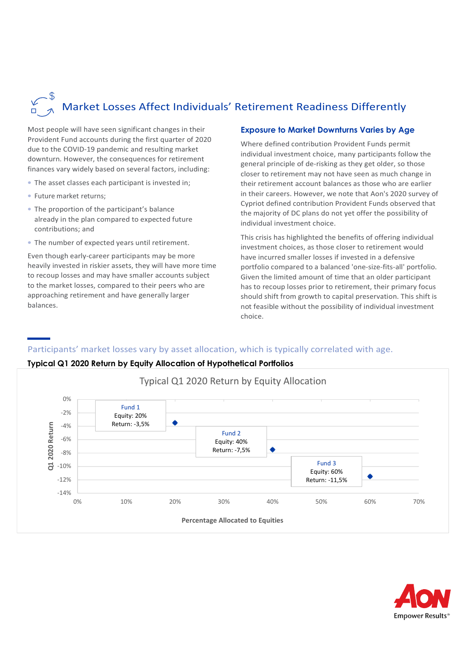# Market Losses Affect Individuals' Retirement Readiness Differently

Most people will have seen significant changes in their Provident Fund accounts during the first quarter of 2020 due to the COVID-19 pandemic and resulting market downturn. However, the consequences for retirement finances vary widely based on several factors, including:

- The asset classes each participant is invested in;
- Future market returns;
- The proportion of the participant's balance already in the plan compared to expected future contributions; and
- The number of expected years until retirement.

Even though early-career participants may be more heavily invested in riskier assets, they will have more time to recoup losses and may have smaller accounts subject to the market losses, compared to their peers who are approaching retirement and have generally larger balances.

#### **Exposure to Market Downturns Varies by Age**

Where defined contribution Provident Funds permit individual investment choice, many participants follow the general principle of de-risking as they get older, so those closer to retirement may not have seen as much change in their retirement account balances as those who are earlier in their careers. However, we note that Aon's 2020 survey of Cypriot defined contribution Provident Funds observed that the majority of DC plans do not yet offer the possibility of individual investment choice.

This crisis has highlighted the benefits of offering individual investment choices, as those closer to retirement would have incurred smaller losses if invested in a defensive portfolio compared to a balanced 'one-size-fits-all' portfolio. Given the limited amount of time that an older participant has to recoup losses prior to retirement, their primary focus should shift from growth to capital preservation. This shift is not feasible without the possibility of individual investment choice.

#### Participants' market losses vary by asset allocation, which is typically correlated with age.

#### **Typical Q1 2020 Return by Equity Allocation of Hypothetical Portfolios**



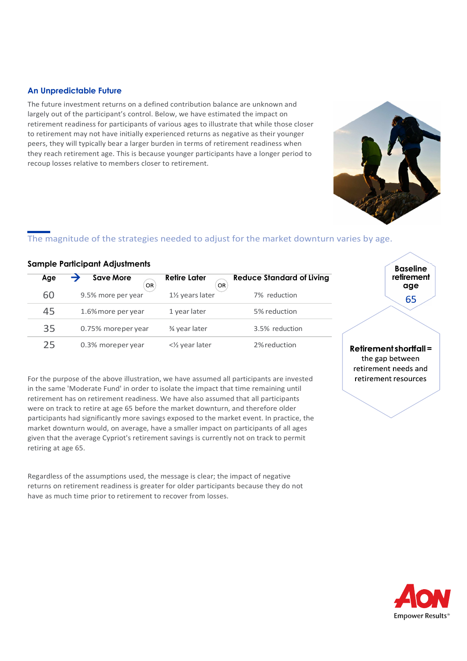#### **An Unpredictable Future**

The future investment returns on a defined contribution balance are unknown and largely out of the participant's control. Below, we have estimated the impact on retirement readiness for participants of various ages to illustrate that while those closer to retirement may not have initially experienced returns as negative as their younger peers, they will typically bear a larger burden in terms of retirement readiness when they reach retirement age. This is because younger participants have a longer period to recoup losses relative to members closer to retirement.

#### The magnitude of the strategies needed to adjust for the market downturn varies by age.

#### **Sample Participant Adjustments**

| Age | <b>Save More</b><br>0R | Retire Later<br>OR           | <b>Reduce Standard of Living</b> |
|-----|------------------------|------------------------------|----------------------------------|
| 60  | 9.5% more per year     | 11/ <sub>2</sub> years later | 7% reduction                     |
| 45  | 1.6% more per year     | 1 year later                 | 5% reduction                     |
| 35  | 0.75% moreper year     | 3⁄4 year later               | 3.5% reduction                   |
| 25  | 0.3% moreper year      | <1/2 year later              | 2% reduction                     |

For the purpose of the above illustration, we have assumed all participants are invested in the same 'Moderate Fund' in order to isolate the impact that time remaining until retirement has on retirement readiness. We have also assumed that all participants were on track to retire at age 65 before the market downturn, and therefore older participants had significantly more savings exposed to the market event. In practice, the market downturn would, on average, have a smaller impact on participants of all ages given that the average Cypriot's retirement savings is currently not on track to permit retiring at age 65.

Regardless of the assumptions used, the message is clear; the impact of negative returns on retirement readiness is greater for older participants because they do not have as much time prior to retirement to recover from losses.

Retirement shortfall = the gap between retirement needs and retirement resources





**Baseline retirement age** 65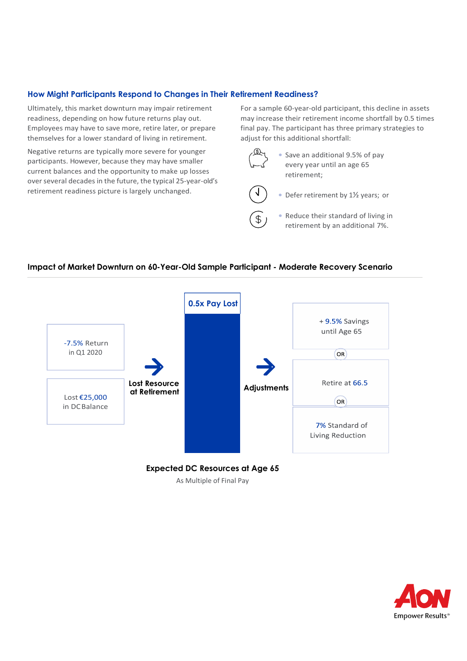#### **How Might Participants Respond to Changes in Their Retirement Readiness?**

Ultimately, this market downturn may impair retirement readiness, depending on how future returns play out. Employees may have to save more, retire later, or prepare themselves for a lower standard of living in retirement.

Negative returns are typically more severe for younger participants. However, because they may have smaller current balances and the opportunity to make up losses over several decades in the future, the typical 25-year-old's retirement readiness picture is largely unchanged.

For a sample 60-year-old participant, this decline in assets may increase their retirement income shortfall by 0.5 times final pay. The participant has three primary strategies to adjust for this additional shortfall:



• Save an additional 9.5% of pay every year until an age 65 retirement;



 $\mathcal{P}$ 

• Defer retirement by 11/<sub>2</sub> years; or

• Reduce their standard of living in retirement by an additional 7%.

#### **Impact of Market Downturn on 60-Year-Old Sample Participant - Moderate Recovery Scenario**





As Multiple of Final Pay

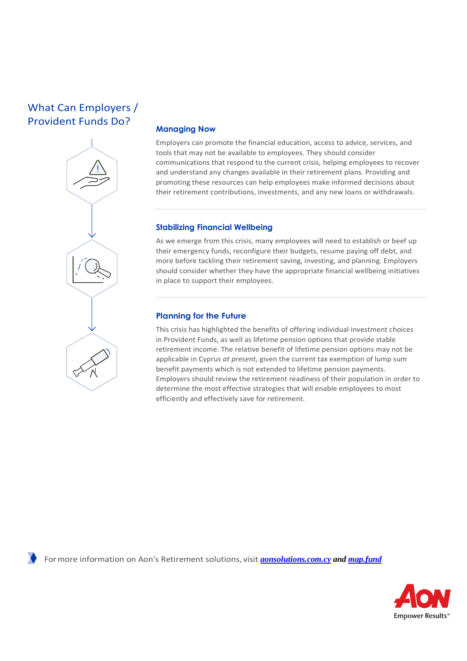## What Can Employers / Provident Funds Do?



#### **Managing Now**

Employers can promote the financial education, access to advice, services, and tools that may not be available to employees. They should consider communications that respond to the current crisis, helping employees to recover and understand any changes available in their retirement plans. Providing and promoting these resources can help employees make informed decisions about their retirement contributions, investments, and any new loans or withdrawals.

#### **Stabilizing Financial Wellbeing**

As we emerge from this crisis, many employees will need to establish or beef up their emergency funds, reconfigure their budgets, resume paying off debt, and more before tackling their retirement saving, investing, and planning. Employers should consider whether they have the appropriate financial wellbeing initiatives in place to support their employees.

#### **Planning for the Future**

This crisis has highlighted the benefits of offering individual investment choices in Provident Funds, as well as lifetime pension options that provide stable retirement income. The relative benefit of lifetime pension options may not be applicable in Cyprus *at present*, given the current tax exemption of lump sum benefit payments which is not extended to lifetime pension payments. Employers should review the retirement readiness of their population in order to determine the most effective strategies that will enable employees to most efficiently and effectively save for retirement.

For more information on Aon's Retirement solutions, visit *aonsolutions.com.cy and map.fund*